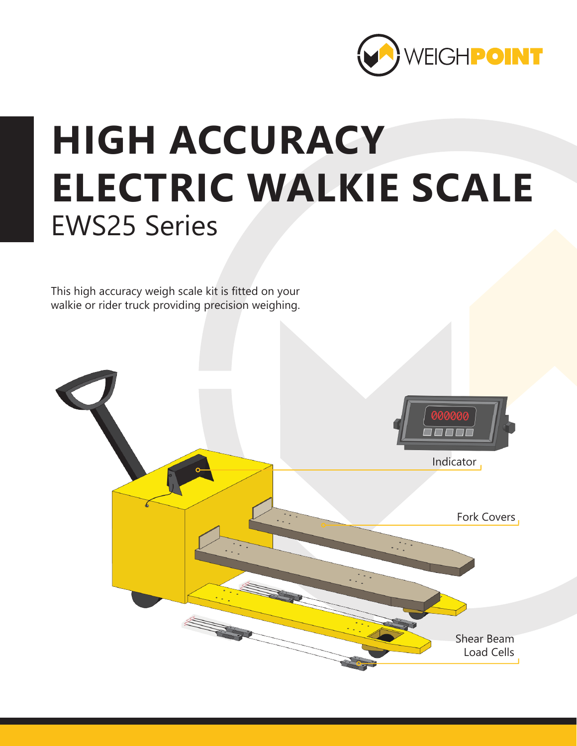

## **HIGH ACCURACY ELECTRIC WALKIE SCALE** EWS25 Series

This high accuracy weigh scale kit is fitted on your walkie or rider truck providing precision weighing.